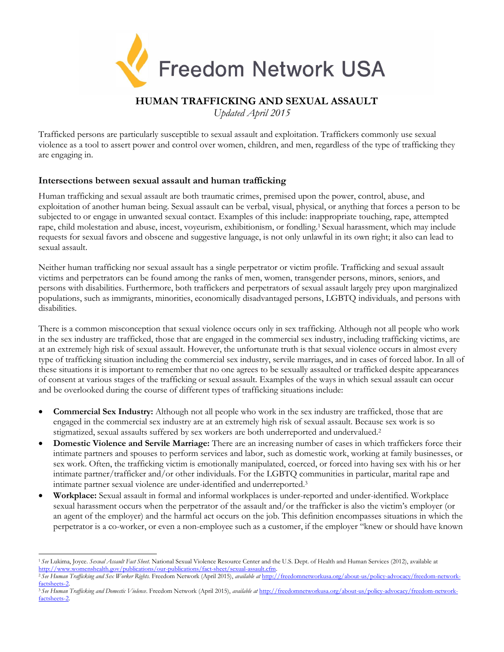

# **HUMAN TRAFFICKING AND SEXUAL ASSAULT**

*Updated April 2015*

Trafficked persons are particularly susceptible to sexual assault and exploitation. Traffickers commonly use sexual violence as a tool to assert power and control over women, children, and men, regardless of the type of trafficking they are engaging in.

## **Intersections between sexual assault and human trafficking**

Human trafficking and sexual assault are both traumatic crimes, premised upon the power, control, abuse, and exploitation of another human being. Sexual assault can be verbal, visual, physical, or anything that forces a person to be subjected to or engage in unwanted sexual contact. Examples of this include: inappropriate touching, rape, attempted rape, child molestation and abuse, incest, voyeurism, exhibitionism, or fondling.1 Sexual harassment, which may include requests for sexual favors and obscene and suggestive language, is not only unlawful in its own right; it also can lead to sexual assault.

Neither human trafficking nor sexual assault has a single perpetrator or victim profile. Trafficking and sexual assault victims and perpetrators can be found among the ranks of men, women, transgender persons, minors, seniors, and persons with disabilities. Furthermore, both traffickers and perpetrators of sexual assault largely prey upon marginalized populations, such as immigrants, minorities, economically disadvantaged persons, LGBTQ individuals, and persons with disabilities.

There is a common misconception that sexual violence occurs only in sex trafficking. Although not all people who work in the sex industry are trafficked, those that are engaged in the commercial sex industry, including trafficking victims, are at an extremely high risk of sexual assault. However, the unfortunate truth is that sexual violence occurs in almost every type of trafficking situation including the commercial sex industry, servile marriages, and in cases of forced labor. In all of these situations it is important to remember that no one agrees to be sexually assaulted or trafficked despite appearances of consent at various stages of the trafficking or sexual assault. Examples of the ways in which sexual assault can occur and be overlooked during the course of different types of trafficking situations include:

- **Commercial Sex Industry:** Although not all people who work in the sex industry are trafficked, those that are engaged in the commercial sex industry are at an extremely high risk of sexual assault. Because sex work is so stigmatized, sexual assaults suffered by sex workers are both underreported and undervalued.<sup>2</sup>
- **Domestic Violence and Servile Marriage:** There are an increasing number of cases in which traffickers force their intimate partners and spouses to perform services and labor, such as domestic work, working at family businesses, or sex work. Often, the trafficking victim is emotionally manipulated, coerced, or forced into having sex with his or her intimate partner/trafficker and/or other individuals. For the LGBTQ communities in particular, marital rape and intimate partner sexual violence are under-identified and underreported.<sup>3</sup>
- **Workplace:** Sexual assault in formal and informal workplaces is under-reported and under-identified. Workplace sexual harassment occurs when the perpetrator of the assault and/or the trafficker is also the victim's employer (or an agent of the employer) and the harmful act occurs on the job. This definition encompasses situations in which the perpetrator is a co-worker, or even a non-employee such as a customer, if the employer "knew or should have known

<sup>1</sup>*See* Lukima, Joyce. *Sexual Assault Fact Sheet*. National Sexual Violence Resource Center and the U.S. Dept. of Health and Human Services (2012), available at [http://www.womenshealth.gov/publications/our-publications/fact-sheet/sexual-assault.cfm.](http://www.womenshealth.gov/publications/our-publications/fact-sheet/sexual-assault.cfm)

<sup>2</sup> *See Human Trafficking and Sex Worker Rights.* Freedom Network (April 2015), *available at* [http://freedomnetworkusa.org/about-us/policy-advocacy/freedom-network](http://freedomnetworkusa.org/about-us/policy-advocacy/freedom-network-factsheets-2)[factsheets-2.](http://freedomnetworkusa.org/about-us/policy-advocacy/freedom-network-factsheets-2)

<sup>3</sup> *See Human Trafficking and Domestic Violence*. Freedom Network (April 2015), *available at* [http://freedomnetworkusa.org/about-us/policy-advocacy/freedom-network](http://freedomnetworkusa.org/about-us/policy-advocacy/freedom-network-factsheets-2)[factsheets-2.](http://freedomnetworkusa.org/about-us/policy-advocacy/freedom-network-factsheets-2)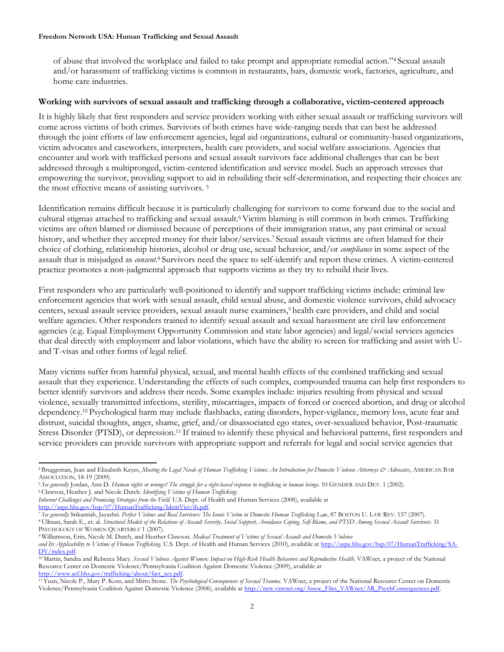of abuse that involved the workplace and failed to take prompt and appropriate remedial action."4 Sexual assault and/or harassment of trafficking victims is common in restaurants, bars, domestic work, factories, agriculture, and home care industries.

### **Working with survivors of sexual assault and trafficking through a collaborative, victim-centered approach**

It is highly likely that first responders and service providers working with either sexual assault or trafficking survivors will come across victims of both crimes. Survivors of both crimes have wide-ranging needs that can best be addressed through the joint efforts of law enforcement agencies, legal aid organizations, cultural or community-based organizations, victim advocates and caseworkers, interpreters, health care providers, and social welfare associations. Agencies that encounter and work with trafficked persons and sexual assault survivors face additional challenges that can be best addressed through a multipronged, victim-centered identification and service model. Such an approach stresses that empowering the survivor, providing support to aid in rebuilding their self-determination, and respecting their choices are the most effective means of assisting survivors. <sup>5</sup>

Identification remains difficult because it is particularly challenging for survivors to come forward due to the social and cultural stigmas attached to trafficking and sexual assault.6 Victim blaming is still common in both crimes. Trafficking victims are often blamed or dismissed because of perceptions of their immigration status, any past criminal or sexual history, and whether they accepted money for their labor/services.<sup>7</sup> Sexual assault victims are often blamed for their choice of clothing, relationship histories, alcohol or drug use, sexual behavior, and/or *compliance* in some aspect of the assault that is misjudged as *consent*. <sup>8</sup>Survivors need the space to self-identify and report these crimes. A victim-centered practice promotes a non-judgmental approach that supports victims as they try to rebuild their lives.

First responders who are particularly well-positioned to identify and support trafficking victims include: criminal law enforcement agencies that work with sexual assault, child sexual abuse, and domestic violence survivors, child advocacy centers, sexual assault service providers, sexual assault nurse examiners,<sup>9</sup> health care providers, and child and social welfare agencies. Other responders trained to identify sexual assault and sexual harassment are civil law enforcement agencies (e.g. Equal Employment Opportunity Commission and state labor agencies) and legal/social services agencies that deal directly with employment and labor violations, which have the ability to screen for trafficking and assist with Uand T-visas and other forms of legal relief.

Many victims suffer from harmful physical, sexual, and mental health effects of the combined trafficking and sexual assault that they experience. Understanding the effects of such complex, compounded trauma can help first responders to better identify survivors and address their needs. Some examples include: injuries resulting from physical and sexual violence, sexually transmitted infections, sterility, miscarriages, impacts of forced or coerced abortion, and drug or alcohol dependency.10 Psychological harm may include flashbacks, eating disorders, hyper-vigilance, memory loss, acute fear and distrust, suicidal thoughts, anger, shame, grief, and/or disassociated ego states, over-sexualized behavior, Post-traumatic Stress Disorder (PTSD), or depression.11 If trained to identify these physical and behavioral patterns, first responders and service providers can provide survivors with appropriate support and referrals for legal and social service agencies that

*Inherent Challenges and Promising Strategies from the Field.* U.S. Dept. of Health and Human Services (2008), available at [http://aspe.hhs.gov/hsp/07/HumanTrafficking/IdentVict/ib.pdf.](http://aspe.hhs.gov/hsp/07/HumanTrafficking/IdentVict/ib.pdf)

<sup>7</sup>*See generally* Srikantiah, Jayashri. *Perfect Victims and Real Survivors: The Iconic Victim in Domestic Human Trafficking Law*, 87 BOSTON U. LAW REV. 157 (2007). <sup>8</sup>Ullman, Sarah E., et. al. *Structural Models of the Relations of Assault Severity, Social Support, Avoidance Coping, Self-Blame, and PTSD Among Sexual Assault Survivors*. 31 PSYCHOLOGY OF WOMEN QUARTERLY 1 (2007).

<sup>9</sup>Williamson, Erin, Nicole M. Dutch, and Heather Clawson. *Medical Treatment of Victims of Sexual Assault and Domestic Violence*

<sup>4</sup>Bruggeman, Jean and Elizabeth Keyes, *Meeting the Legal Needs of Human Trafficking Victims: An Introduction for Domestic Violence Attorneys & Advocates*, AMERICAN BAR ASSOCIATION, 18-19 (2009).

<sup>5</sup>*See generally* Jordan, Ann D. *Human rights or wrongs? The struggle for a right-based response to trafficking in human beings*. 10 GENDER AND DEV. 1 (2002). <sup>6</sup>Clawson, Heather J. and Nicole Dutch. *Identifying Victims of Human Trafficking:*

*and Its Applicability to Victims of Human Trafficking.* U.S. Dept. of Health and Human Services (2010), available at [http://aspe.hhs.gov/hsp/07/HumanTrafficking/SA-](http://aspe.hhs.gov/hsp/07/HumanTrafficking/SA-DV/index.pdf)[DV/index.pdf.](http://aspe.hhs.gov/hsp/07/HumanTrafficking/SA-DV/index.pdf)

<sup>&</sup>lt;sup>10</sup> Martin, Sandra and Rebecca Macy. *Sexual Violence Against Women: Impact on High-Risk Health Behaviors and Reproductive Health. VAWnet, a project of the National* Resource Center on Domestic Violence/Pennsylvania Coalition Against Domestic Violence (2009), available at [http://www.acf.hhs.gov/trafficking/about/fact\\_sex.pdf.](http://www.acf.hhs.gov/trafficking/about/fact_sex.pdf)

<sup>11</sup>Yuan, Nicole P., Mary P. Koss, and Mirto Stone. *The Psychological Consequences of Sexual Trauma.* VAWnet, a project of the National Resource Center on Domestic Violence/Pennsylvania Coalition Against Domestic Violence (2006), available at [http://new.vawnet.org/Assoc\\_Files\\_VAWnet/AR\\_PsychConsequences.pdf.](http://new.vawnet.org/Assoc_Files_VAWnet/AR_PsychConsequences.pdf)